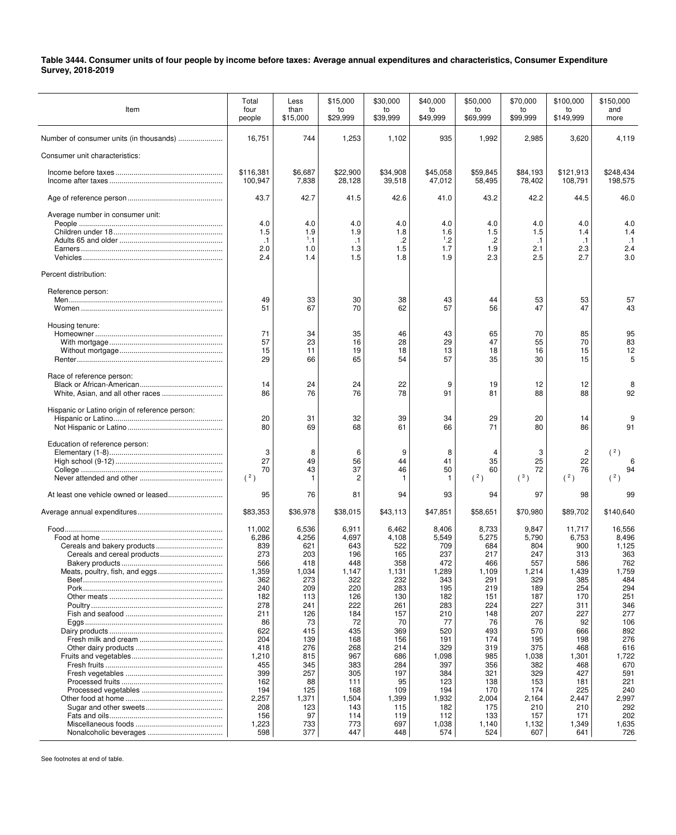**Table 3444. Consumer units of four people by income before taxes: Average annual expenditures and characteristics, Consumer Expenditure Survey, 2018-2019**

| Item                                           | Total<br>four<br>people                                                                                                                                                                 | Less<br>than<br>\$15,000                                                                                                                                                         | \$15,000<br>to<br>\$29,999                                                                                                                                                         | \$30.000<br>to<br>\$39,999                                                                                                                                                        | \$40,000<br>to<br>\$49,999                                                                                                                                                             | \$50,000<br>to<br>\$69,999                                                                                                                                                           | \$70,000<br>to<br>\$99,999                                                                                                                                                             | \$100.000<br>to<br>\$149,999                                                                                                                                                            | \$150,000<br>and<br>more                                                                                                                                                                   |
|------------------------------------------------|-----------------------------------------------------------------------------------------------------------------------------------------------------------------------------------------|----------------------------------------------------------------------------------------------------------------------------------------------------------------------------------|------------------------------------------------------------------------------------------------------------------------------------------------------------------------------------|-----------------------------------------------------------------------------------------------------------------------------------------------------------------------------------|----------------------------------------------------------------------------------------------------------------------------------------------------------------------------------------|--------------------------------------------------------------------------------------------------------------------------------------------------------------------------------------|----------------------------------------------------------------------------------------------------------------------------------------------------------------------------------------|-----------------------------------------------------------------------------------------------------------------------------------------------------------------------------------------|--------------------------------------------------------------------------------------------------------------------------------------------------------------------------------------------|
|                                                | 16,751                                                                                                                                                                                  | 744                                                                                                                                                                              | 1,253                                                                                                                                                                              | 1,102                                                                                                                                                                             | 935                                                                                                                                                                                    | 1,992                                                                                                                                                                                | 2,985                                                                                                                                                                                  | 3,620                                                                                                                                                                                   | 4,119                                                                                                                                                                                      |
| Consumer unit characteristics:                 |                                                                                                                                                                                         |                                                                                                                                                                                  |                                                                                                                                                                                    |                                                                                                                                                                                   |                                                                                                                                                                                        |                                                                                                                                                                                      |                                                                                                                                                                                        |                                                                                                                                                                                         |                                                                                                                                                                                            |
|                                                | \$116,381<br>100,947                                                                                                                                                                    | \$6,687<br>7,838                                                                                                                                                                 | \$22,900<br>28,128                                                                                                                                                                 | \$34,908<br>39,518                                                                                                                                                                | \$45,058<br>47,012                                                                                                                                                                     | \$59,845<br>58,495                                                                                                                                                                   | \$84,193<br>78,402                                                                                                                                                                     | \$121,913<br>108,791                                                                                                                                                                    | \$248,434<br>198,575                                                                                                                                                                       |
|                                                | 43.7                                                                                                                                                                                    | 42.7                                                                                                                                                                             | 41.5                                                                                                                                                                               | 42.6                                                                                                                                                                              | 41.0                                                                                                                                                                                   | 43.2                                                                                                                                                                                 | 42.2                                                                                                                                                                                   | 44.5                                                                                                                                                                                    | 46.0                                                                                                                                                                                       |
| Average number in consumer unit:               | 4.0<br>1.5<br>$\cdot$ 1<br>2.0<br>2.4                                                                                                                                                   | 4.0<br>1.9<br>1,1<br>1.0<br>1.4                                                                                                                                                  | 4.0<br>1.9<br>$\cdot$ 1<br>1.3<br>1.5                                                                                                                                              | 4.0<br>1.8<br>$\cdot$<br>1.5<br>1.8                                                                                                                                               | 4.0<br>1.6<br>$^{1}$ .2<br>1.7<br>1.9                                                                                                                                                  | 4.0<br>1.5<br>$\cdot$<br>1.9<br>2.3                                                                                                                                                  | 4.0<br>1.5<br>.1<br>2.1<br>2.5                                                                                                                                                         | 4.0<br>1.4<br>$\cdot$ 1<br>2.3<br>2.7                                                                                                                                                   | 4.0<br>1.4<br>$\cdot$ 1<br>2.4<br>3.0                                                                                                                                                      |
| Percent distribution:                          |                                                                                                                                                                                         |                                                                                                                                                                                  |                                                                                                                                                                                    |                                                                                                                                                                                   |                                                                                                                                                                                        |                                                                                                                                                                                      |                                                                                                                                                                                        |                                                                                                                                                                                         |                                                                                                                                                                                            |
| Reference person:                              | 49<br>51                                                                                                                                                                                | 33<br>67                                                                                                                                                                         | 30<br>70                                                                                                                                                                           | 38<br>62                                                                                                                                                                          | 43<br>57                                                                                                                                                                               | 44<br>56                                                                                                                                                                             | 53<br>47                                                                                                                                                                               | 53<br>47                                                                                                                                                                                | 57<br>43                                                                                                                                                                                   |
| Housing tenure:                                | 71<br>57<br>15<br>29                                                                                                                                                                    | 34<br>23<br>11<br>66                                                                                                                                                             | 35<br>16<br>19<br>65                                                                                                                                                               | 46<br>28<br>18<br>54                                                                                                                                                              | 43<br>29<br>13<br>57                                                                                                                                                                   | 65<br>47<br>18<br>35                                                                                                                                                                 | 70<br>55<br>16<br>30                                                                                                                                                                   | 85<br>70<br>15<br>15                                                                                                                                                                    | 95<br>83<br>12<br>5                                                                                                                                                                        |
| Race of reference person:                      | 14<br>86                                                                                                                                                                                | 24<br>76                                                                                                                                                                         | 24<br>76                                                                                                                                                                           | 22<br>78                                                                                                                                                                          | 9<br>91                                                                                                                                                                                | 19<br>81                                                                                                                                                                             | 12<br>88                                                                                                                                                                               | 12<br>88                                                                                                                                                                                | 8<br>92                                                                                                                                                                                    |
| Hispanic or Latino origin of reference person: | 20<br>80                                                                                                                                                                                | 31<br>69                                                                                                                                                                         | 32<br>68                                                                                                                                                                           | 39<br>61                                                                                                                                                                          | 34<br>66                                                                                                                                                                               | 29<br>71                                                                                                                                                                             | 20<br>80                                                                                                                                                                               | 14<br>86                                                                                                                                                                                | 9<br>91                                                                                                                                                                                    |
| Education of reference person:                 | 3<br>27<br>70<br>(2)                                                                                                                                                                    | 8<br>49<br>43<br>$\mathbf{1}$                                                                                                                                                    | 6<br>56<br>37<br>2                                                                                                                                                                 | 9<br>44<br>46                                                                                                                                                                     | 8<br>41<br>50<br>-1                                                                                                                                                                    | 4<br>35<br>60<br>(2)                                                                                                                                                                 | 3<br>25<br>72<br>$(^3)$                                                                                                                                                                | 2<br>22<br>76<br>$(^{2})$                                                                                                                                                               | (2)<br>94<br>(2)                                                                                                                                                                           |
|                                                | 95                                                                                                                                                                                      | 76                                                                                                                                                                               | 81                                                                                                                                                                                 | 94                                                                                                                                                                                | 93                                                                                                                                                                                     | 94                                                                                                                                                                                   | 97                                                                                                                                                                                     | 98                                                                                                                                                                                      | 99                                                                                                                                                                                         |
|                                                | \$83,353                                                                                                                                                                                | \$36,978                                                                                                                                                                         | \$38,015                                                                                                                                                                           | \$43,113                                                                                                                                                                          | \$47,851                                                                                                                                                                               | \$58,651                                                                                                                                                                             | \$70,980                                                                                                                                                                               | \$89,702                                                                                                                                                                                | \$140,640                                                                                                                                                                                  |
|                                                | 11,002<br>6,286<br>839<br>273<br>566<br>1,359<br>362<br>240<br>182<br>278<br>211<br>86<br>622<br>204<br>418<br>1,210<br>455<br>399<br>162<br>194<br>2,257<br>208<br>156<br>1,223<br>598 | 6,536<br>4,256<br>621<br>203<br>418<br>1,034<br>273<br>209<br>113<br>241<br>126<br>73<br>415<br>139<br>276<br>815<br>345<br>257<br>88<br>125<br>1,371<br>123<br>97<br>733<br>377 | 6,911<br>4,697<br>643<br>196<br>448<br>1,147<br>322<br>220<br>126<br>222<br>184<br>72<br>435<br>168<br>268<br>967<br>383<br>305<br>111<br>168<br>1,504<br>143<br>114<br>773<br>447 | 6,462<br>4,108<br>522<br>165<br>358<br>1,131<br>232<br>283<br>130<br>261<br>157<br>70<br>369<br>156<br>214<br>686<br>284<br>197<br>95<br>109<br>1,399<br>115<br>119<br>697<br>448 | 8,406<br>5,549<br>709<br>237<br>472<br>1,289<br>343<br>195<br>182<br>283<br>210<br>77<br>520<br>191<br>329<br>1,098<br>397<br>384<br>123<br>194<br>1,932<br>182<br>112<br>1,038<br>574 | 8,733<br>5,275<br>684<br>217<br>466<br>1,109<br>291<br>219<br>151<br>224<br>148<br>76<br>493<br>174<br>319<br>985<br>356<br>321<br>138<br>170<br>2,004<br>175<br>133<br>1,140<br>524 | 9,847<br>5,790<br>804<br>247<br>557<br>1,214<br>329<br>189<br>187<br>227<br>207<br>76<br>570<br>195<br>375<br>1,038<br>382<br>329<br>153<br>174<br>2,164<br>210<br>157<br>1,132<br>607 | 11,717<br>6,753<br>900<br>313<br>586<br>1,439<br>385<br>254<br>170<br>311<br>227<br>92<br>666<br>198<br>468<br>1,301<br>468<br>427<br>181<br>225<br>2,447<br>210<br>171<br>1,349<br>641 | 16,556<br>8,496<br>1,125<br>363<br>762<br>1,759<br>484<br>294<br>251<br>346<br>277<br>106<br>892<br>276<br>616<br>1,722<br>670<br>591<br>221<br>240<br>2,997<br>292<br>202<br>1,635<br>726 |

See footnotes at end of table.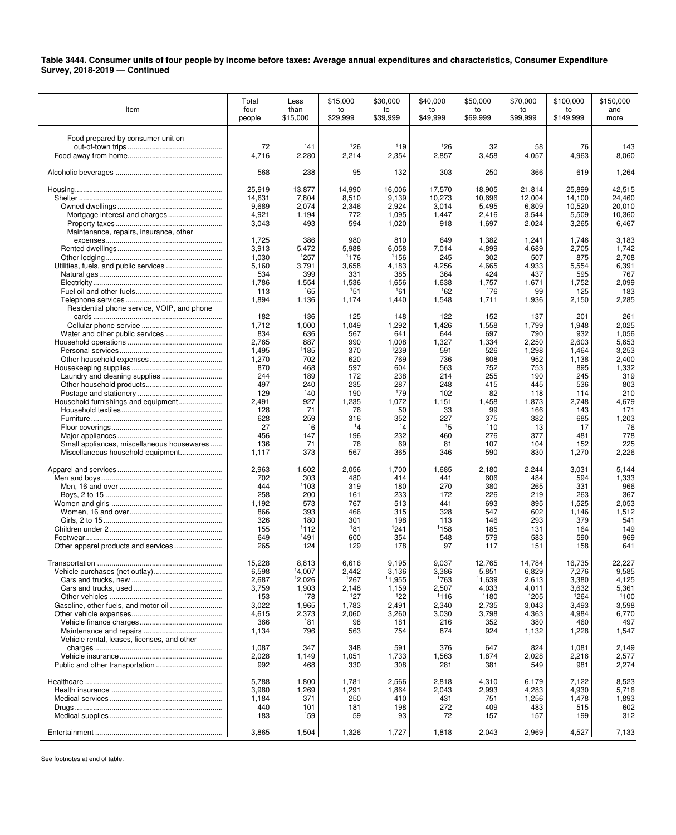**Table 3444. Consumer units of four people by income before taxes: Average annual expenditures and characteristics, Consumer Expenditure Survey, 2018-2019 — Continued** 

| Item                                        | Total<br>four  | Less<br>than   | \$15,000<br>to | \$30,000<br>to   | \$40,000<br>to | \$50.000<br>to | \$70,000<br>to | \$100,000<br>to | \$150.000<br>and |
|---------------------------------------------|----------------|----------------|----------------|------------------|----------------|----------------|----------------|-----------------|------------------|
|                                             | people         | \$15,000       | \$29,999       | \$39,999         | \$49,999       | \$69,999       | \$99,999       | \$149,999       | more             |
|                                             |                |                |                |                  |                |                |                |                 |                  |
| Food prepared by consumer unit on           | 72             | 141            | 126            | 119              | 126            | 32             | 58             | 76              | 143              |
|                                             | 4,716          | 2,280          | 2,214          | 2,354            | 2,857          | 3,458          | 4,057          | 4,963           | 8,060            |
|                                             |                |                |                |                  |                |                |                |                 |                  |
|                                             | 568            | 238            | 95             | 132              | 303            | 250            | 366            | 619             | 1,264            |
|                                             |                |                |                |                  |                |                |                |                 |                  |
|                                             | 25,919         | 13,877         | 14,990         | 16,006           | 17,570         | 18,905         | 21,814         | 25,899          | 42,515           |
|                                             | 14,631         | 7,804          | 8,510          | 9,139            | 10,273         | 10,696         | 12,004         | 14,100          | 24,460           |
|                                             | 9,689          | 2,074          | 2,346          | 2,924            | 3,014          | 5,495          | 6,809          | 10,520          | 20,010           |
|                                             | 4,921          | 1,194<br>493   | 772<br>594     | 1,095            | 1,447          | 2,416          | 3,544          | 5,509           | 10,360           |
| Maintenance, repairs, insurance, other      | 3,043          |                |                | 1,020            | 918            | 1,697          | 2,024          | 3,265           | 6,467            |
|                                             | 1,725          | 386            | 980            | 810              | 649            | 1,382          | 1,241          | 1,746           | 3,183            |
|                                             | 3,913          | 5,472          | 5,988          | 6,058            | 7,014          | 4,899          | 4,689          | 2,705           | 1,742            |
|                                             | 1,030          | 1257           | 1176           | <sup>1</sup> 156 | 245            | 302            | 507            | 875             | 2,708            |
|                                             | 5,160          | 3,791          | 3,658          | 4,183            | 4,256          | 4,665          | 4,933          | 5,554           | 6,391            |
|                                             | 534            | 399            | 331            | 385              | 364            | 424            | 437            | 595             | 767              |
|                                             | 1,786          | 1,554          | 1,536          | 1,656            | 1,638          | 1,757          | 1,671          | 1,752           | 2,099            |
|                                             | 113            | 165            | 151            | 161              | 162            | 176            | 99             | 125             | 183              |
| Residential phone service, VOIP, and phone  | 1,894          | 1,136          | 1,174          | 1,440            | 1,548          | 1,711          | 1,936          | 2,150           | 2,285            |
|                                             | 182            | 136            | 125            | 148              | 122            | 152            | 137            | 201             | 261              |
|                                             | 1,712          | 1,000          | 1,049          | 1,292            | 1,426          | 1,558          | 1,799          | 1,948           | 2,025            |
| Water and other public services             | 834            | 636            | 567            | 641              | 644            | 697            | 790            | 932             | 1,056            |
|                                             | 2,765          | 887            | 990            | 1,008            | 1,327          | 1,334          | 2,250          | 2,603           | 5,653            |
|                                             | 1,495          | 1185           | 370            | 1239             | 591            | 526            | 1,298          | 1,464           | 3,253            |
|                                             | 1,270          | 702            | 620            | 769              | 736            | 808            | 952            | 1,138           | 2,400            |
|                                             | 870            | 468            | 597            | 604              | 563            | 752            | 753            | 895             | 1,332            |
| Laundry and cleaning supplies               | 244<br>497     | 189<br>240     | 172<br>235     | 238<br>287       | 214<br>248     | 255<br>415     | 190<br>445     | 245<br>536      | 319<br>803       |
|                                             | 129            | 140            | 190            | 179              | 102            | 82             | 118            | 114             | 210              |
| Household furnishings and equipment         | 2.491          | 927            | 1,235          | 1,072            | 1,151          | 1,458          | 1,873          | 2,748           | 4,679            |
|                                             | 128            | 71             | 76             | 50               | 33             | 99             | 166            | 143             | 171              |
|                                             | 628            | 259            | 316            | 352              | 227            | 375            | 382            | 685             | 1,203            |
|                                             | 27             | 16             | 14             | 14               | 15             | 110            | 13             | 17              | 76               |
|                                             | 456            | 147            | 196            | 232              | 460            | 276            | 377            | 481             | 778              |
| Small appliances, miscellaneous housewares  | 136            | 71             | 76             | 69               | 81             | 107            | 104            | 152             | 225              |
| Miscellaneous household equipment           | 1,117          | 373            | 567            | 365              | 346            | 590            | 830            | 1,270           | 2,226            |
|                                             | 2,963          | 1,602          | 2,056          | 1,700            | 1,685          | 2,180          | 2,244          | 3,031           | 5,144            |
|                                             | 702            | 303            | 480            | 414              | 441            | 606            | 484            | 594             | 1,333            |
|                                             | 444            | 1103           | 319            | 180              | 270            | 380            | 265            | 331             | 966              |
|                                             | 258            | 200            | 161            | 233              | 172            | 226            | 219            | 263             | 367              |
|                                             | 1,192          | 573            | 767            | 513              | 441            | 693            | 895            | 1,525           | 2,053            |
|                                             | 866            | 393            | 466            | 315              | 328            | 547            | 602            | 1,146           | 1,512            |
|                                             | 326            | 180            | 301            | 198              | 113            | 146            | 293            | 379             | 541              |
|                                             | 155<br>649     | 1112<br>1491   | 181<br>600     | 1241<br>354      | 1158<br>548    | 185<br>579     | 131<br>583     | 164<br>590      | 149<br>969       |
|                                             | 265            | 124            | 129            | 178              | 97             | 117            | 151            | 158             | 641              |
|                                             |                |                |                |                  |                |                |                |                 |                  |
| Transportation                              | 15,228         | 8,813          | 6,616          | 9.195            | 9,037          | 12,765         | 14,784         | 16,735          | 22.227           |
|                                             | 6,598          | 14,007         | 2,442          | 3,136            | 3,386          | 5,851          | 6,829          | 7,276           | 9,585            |
|                                             | 2,687          | 12,026         | 1267           | 11,955           | 1763           | 11,639         | 2,613          | 3,380           | 4,125            |
|                                             | 3,759          | 1,903          | 2,148          | 1,159            | 2,507          | 4,033          | 4,011          | 3,632           | 5,361            |
|                                             | 153<br>3,022   | 178            | 127            | 122              | 1116           | 1180           | 1205           | 1264            | 1100             |
|                                             | 4,615          | 1,965<br>2,373 | 1,783<br>2,060 | 2,491<br>3,260   | 2,340<br>3,030 | 2,735<br>3,798 | 3,043<br>4,363 | 3,493<br>4,984  | 3,598<br>6,770   |
|                                             | 366            | 181            | 98             | 181              | 216            | 352            | 380            | 460             | 497              |
|                                             | 1,134          | 796            | 563            | 754              | 874            | 924            | 1,132          | 1,228           | 1,547            |
| Vehicle rental, leases, licenses, and other |                |                |                |                  |                |                |                |                 |                  |
|                                             | 1,087          | 347            | 348            | 591              | 376            | 647            | 824            | 1,081           | 2,149            |
|                                             | 2,028          | 1,149          | 1,051          | 1,733            | 1,563          | 1,874          | 2,028          | 2,216           | 2,577            |
|                                             | 992            | 468            | 330            | 308              | 281            | 381            | 549            | 981             | 2,274            |
|                                             |                |                |                |                  | 2,818          |                | 6,179          |                 |                  |
|                                             | 5,788<br>3,980 | 1,800<br>1,269 | 1,781<br>1,291 | 2,566<br>1,864   | 2,043          | 4,310<br>2,993 | 4,283          | 7,122<br>4,930  | 8,523<br>5,716   |
|                                             | 1,184          | 371            | 250            | 410              | 431            | 751            | 1,256          | 1,478           | 1,893            |
|                                             | 440            | 101            | 181            | 198              | 272            | 409            | 483            | 515             | 602              |
|                                             | 183            | 159            | 59             | 93               | 72             | 157            | 157            | 199             | 312              |
|                                             |                |                |                |                  |                |                |                |                 |                  |
|                                             | 3,865          | 1,504          | 1,326          | 1,727            | 1,818          | 2,043          | 2,969          | 4,527           | 7,133            |

See footnotes at end of table.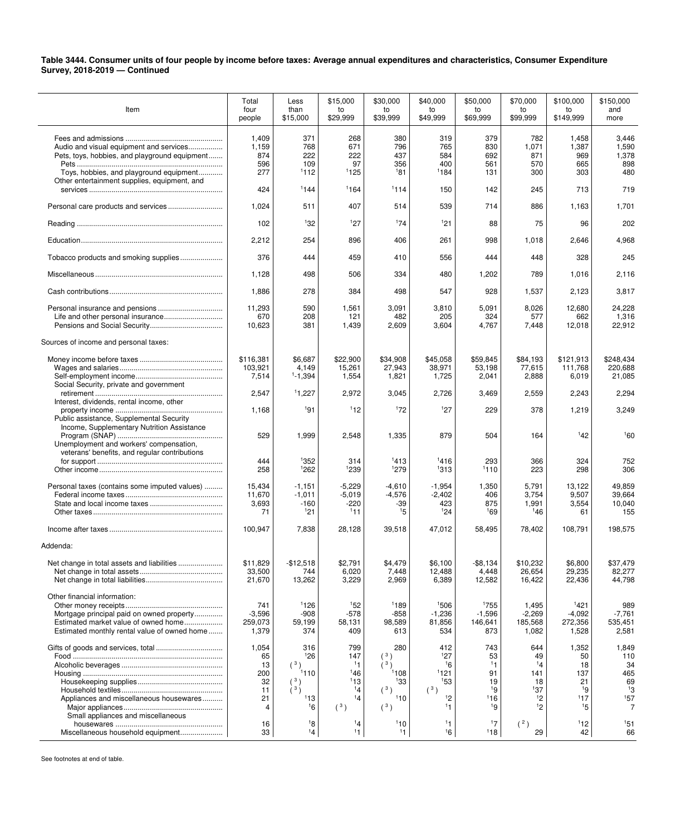## **Table 3444. Consumer units of four people by income before taxes: Average annual expenditures and characteristics, Consumer Expenditure Survey, 2018-2019 — Continued**

| Item                                                                                                                                                              | Total<br>four<br>people                         | Less<br>than<br>\$15,000                             | \$15,000<br>to<br>\$29,999                        | \$30,000<br>to<br>\$39,999                     | \$40,000<br>to<br>\$49,999                            | \$50,000<br>to<br>\$69,999                     | \$70,000<br>to<br>\$99,999                      | \$100.000<br>to<br>\$149,999                      | \$150,000<br>and<br>more                                       |
|-------------------------------------------------------------------------------------------------------------------------------------------------------------------|-------------------------------------------------|------------------------------------------------------|---------------------------------------------------|------------------------------------------------|-------------------------------------------------------|------------------------------------------------|-------------------------------------------------|---------------------------------------------------|----------------------------------------------------------------|
| Audio and visual equipment and services<br>Pets, toys, hobbies, and playground equipment<br>Toys, hobbies, and playground equipment                               | 1,409<br>1,159<br>874<br>596<br>277             | 371<br>768<br>222<br>109<br>1112                     | 268<br>671<br>222<br>97<br>1125                   | 380<br>796<br>437<br>356<br>181                | 319<br>765<br>584<br>400<br>1184                      | 379<br>830<br>692<br>561<br>131                | 782<br>1,071<br>871<br>570<br>300               | 1,458<br>1,387<br>969<br>665<br>303               | 3,446<br>1,590<br>1,378<br>898<br>480                          |
| Other entertainment supplies, equipment, and                                                                                                                      | 424                                             | 1144                                                 | 1164                                              | 1114                                           | 150                                                   | 142                                            | 245                                             | 713                                               | 719                                                            |
|                                                                                                                                                                   | 1,024                                           | 511                                                  | 407                                               | 514                                            | 539                                                   | 714                                            | 886                                             | 1,163                                             | 1,701                                                          |
|                                                                                                                                                                   | 102                                             | 132                                                  | 127                                               | 174                                            | 121                                                   | 88                                             | 75                                              | 96                                                | 202                                                            |
|                                                                                                                                                                   | 2,212                                           | 254                                                  | 896                                               | 406                                            | 261                                                   | 998                                            | 1,018                                           | 2,646                                             | 4,968                                                          |
| Tobacco products and smoking supplies                                                                                                                             | 376                                             | 444                                                  | 459                                               | 410                                            | 556                                                   | 444                                            | 448                                             | 328                                               | 245                                                            |
|                                                                                                                                                                   | 1,128                                           | 498                                                  | 506                                               | 334                                            | 480                                                   | 1,202                                          | 789                                             | 1,016                                             | 2,116                                                          |
|                                                                                                                                                                   | 1,886                                           | 278                                                  | 384                                               | 498                                            | 547                                                   | 928                                            | 1,537                                           | 2,123                                             | 3,817                                                          |
| Life and other personal insurance                                                                                                                                 | 11,293<br>670<br>10,623                         | 590<br>208<br>381                                    | 1,561<br>121<br>1,439                             | 3,091<br>482<br>2,609                          | 3,810<br>205<br>3,604                                 | 5,091<br>324<br>4,767                          | 8,026<br>577<br>7,448                           | 12,680<br>662<br>12,018                           | 24,228<br>1,316<br>22,912                                      |
| Sources of income and personal taxes:                                                                                                                             |                                                 |                                                      |                                                   |                                                |                                                       |                                                |                                                 |                                                   |                                                                |
| Social Security, private and government                                                                                                                           | \$116,381<br>103,921<br>7,514                   | \$6,687<br>4,149<br>$1 - 1,394$                      | \$22,900<br>15,261<br>1,554                       | \$34,908<br>27,943<br>1,821                    | \$45,058<br>38,971<br>1,725                           | \$59,845<br>53,198<br>2,041                    | \$84,193<br>77,615<br>2,888                     | \$121,913<br>111,768<br>6,019                     | \$248,434<br>220.688<br>21,085                                 |
| Interest, dividends, rental income, other                                                                                                                         | 2,547                                           | 11,227                                               | 2,972                                             | 3,045                                          | 2,726                                                 | 3,469                                          | 2,559                                           | 2,243                                             | 2,294                                                          |
| Public assistance, Supplemental Security<br>Income, Supplementary Nutrition Assistance                                                                            | 1,168                                           | 191                                                  | 112                                               | 172                                            | 127                                                   | 229                                            | 378                                             | 1,219                                             | 3,249                                                          |
| Unemployment and workers' compensation,<br>veterans' benefits, and regular contributions                                                                          | 529                                             | 1,999                                                | 2,548                                             | 1,335                                          | 879                                                   | 504                                            | 164                                             | 142                                               | 160                                                            |
|                                                                                                                                                                   | 444<br>258                                      | 1352<br>1262                                         | 314<br>1239                                       | 1413<br>1279                                   | 1416<br>1313                                          | 293<br>1110                                    | 366<br>223                                      | 324<br>298                                        | 752<br>306                                                     |
| Personal taxes (contains some imputed values)                                                                                                                     | 15,434<br>11,670<br>3,693<br>71                 | $-1,151$<br>$-1,011$<br>-160<br>121                  | $-5,229$<br>$-5,019$<br>-220<br>111               | $-4,610$<br>$-4,576$<br>-39<br>15              | $-1,954$<br>$-2,402$<br>423<br>124                    | 1,350<br>406<br>875<br>169                     | 5,791<br>3,754<br>1,991<br>146                  | 13,122<br>9,507<br>3,554<br>61                    | 49,859<br>39,664<br>10,040<br>155                              |
|                                                                                                                                                                   | 100,947                                         | 7,838                                                | 28,128                                            | 39,518                                         | 47,012                                                | 58,495                                         | 78,402                                          | 108,791                                           | 198,575                                                        |
| Addenda:                                                                                                                                                          |                                                 |                                                      |                                                   |                                                |                                                       |                                                |                                                 |                                                   |                                                                |
| Net change in total assets and liabilities                                                                                                                        | \$11,829<br>33,500<br>21,670                    | $-$12.518$<br>744<br>13,262                          | \$2.791<br>6,020<br>3,229                         | \$4,479<br>7,448<br>2,969                      | \$6,100<br>12,488<br>6,389                            | $-$ \$8,134<br>4,448<br>12,582                 | \$10.232<br>26,654<br>16,422                    | \$6,800<br>29,235<br>22,436                       | \$37,479<br>82,277<br>44,798                                   |
| Other financial information:<br>Mortgage principal paid on owned property<br>Estimated market value of owned home<br>Estimated monthly rental value of owned home | 741<br>$-3,596$<br>259,073<br>1,379             | 1126<br>$-908$<br>59,199<br>374                      | 152<br>$-578$<br>58,131<br>409                    | 1189<br>$-858$<br>98,589<br>613                | 1506<br>$-1,236$<br>81,856<br>534                     | 1755<br>$-1,596$<br>146,641<br>873             | 1,495<br>$-2,269$<br>185,568<br>1,082           | 1421<br>$-4,092$<br>272,356<br>1,528              | 989<br>$-7,761$<br>535,451<br>2,581                            |
| Appliances and miscellaneous housewares                                                                                                                           | 1,054<br>65<br>13<br>200<br>32<br>11<br>21<br>4 | 316<br>126<br>(3)<br>1110<br>(3)<br>(3)<br>113<br>16 | 799<br>147<br>11<br>146<br>113<br>14<br>14<br>(3) | 280<br>(3)<br>1108<br>133<br>(3)<br>110<br>(3) | 412<br>127<br>16<br>1121<br>153<br>$(^3)$<br>12<br>11 | 743<br>53<br>11<br>91<br>19<br>19<br>116<br>19 | 644<br>49<br>14<br>141<br>18<br>137<br>12<br>12 | 1,352<br>50<br>18<br>137<br>21<br>19<br>117<br>15 | 1,849<br>110<br>34<br>465<br>69<br>13<br>157<br>$\overline{7}$ |
| Small appliances and miscellaneous<br>Miscellaneous household equipment                                                                                           | 16<br>33                                        | 18<br>14                                             | 14<br>11                                          | 110<br>11                                      | 11<br>16                                              | 17<br>118                                      | (2)<br>29                                       | 112<br>42                                         | 151<br>66                                                      |

See footnotes at end of table.